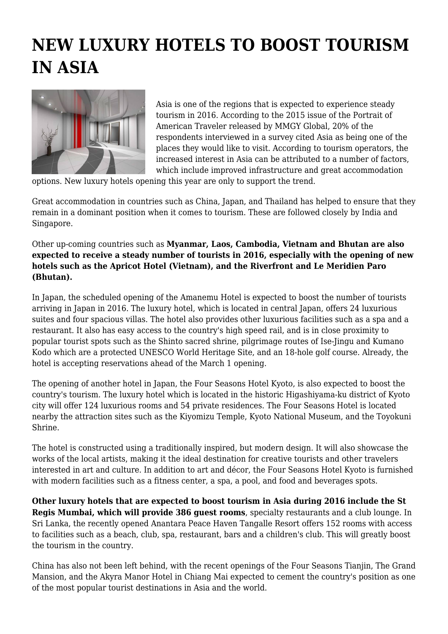## **NEW LUXURY HOTELS TO BOOST TOURISM IN ASIA**



Asia is one of the regions that is expected to experience steady tourism in 2016. According to the 2015 issue of the Portrait of American Traveler released by MMGY Global, 20% of the respondents interviewed in a survey cited Asia as being one of the places they would like to visit. According to tourism operators, the increased interest in Asia can be attributed to a number of factors, which include improved infrastructure and great accommodation

options. New luxury hotels opening this year are only to support the trend.

Great accommodation in countries such as China, Japan, and Thailand has helped to ensure that they remain in a dominant position when it comes to tourism. These are followed closely by India and Singapore.

Other up-coming countries such as **Myanmar, Laos, Cambodia, Vietnam and Bhutan are also expected to receive a steady number of tourists in 2016, especially with the opening of new hotels such as the Apricot Hotel (Vietnam), and the Riverfront and Le Meridien Paro (Bhutan).** 

In Japan, the scheduled opening of the Amanemu Hotel is expected to boost the number of tourists arriving in Japan in 2016. The luxury hotel, which is located in central Japan, offers 24 luxurious suites and four spacious villas. The hotel also provides other luxurious facilities such as a spa and a restaurant. It also has easy access to the country's high speed rail, and is in close proximity to popular tourist spots such as the Shinto sacred shrine, pilgrimage routes of Ise-Jingu and Kumano Kodo which are a protected UNESCO World Heritage Site, and an 18-hole golf course. Already, the hotel is accepting reservations ahead of the March 1 opening.

The opening of another hotel in Japan, the Four Seasons Hotel Kyoto, is also expected to boost the country's tourism. The luxury hotel which is located in the historic Higashiyama-ku district of Kyoto city will offer 124 luxurious rooms and 54 private residences. The Four Seasons Hotel is located nearby the attraction sites such as the Kiyomizu Temple, Kyoto National Museum, and the Toyokuni Shrine.

The hotel is constructed using a traditionally inspired, but modern design. It will also showcase the works of the local artists, making it the ideal destination for creative tourists and other travelers interested in art and culture. In addition to art and décor, the Four Seasons Hotel Kyoto is furnished with modern facilities such as a fitness center, a spa, a pool, and food and beverages spots.

**Other luxury hotels that are expected to boost tourism in Asia during 2016 include the St Regis Mumbai, which will provide 386 guest rooms**, specialty restaurants and a club lounge. In Sri Lanka, the recently opened Anantara Peace Haven Tangalle Resort offers 152 rooms with access to facilities such as a beach, club, spa, restaurant, bars and a children's club. This will greatly boost the tourism in the country.

China has also not been left behind, with the recent openings of the Four Seasons Tianjin, The Grand Mansion, and the Akyra Manor Hotel in Chiang Mai expected to cement the country's position as one of the most popular tourist destinations in Asia and the world.